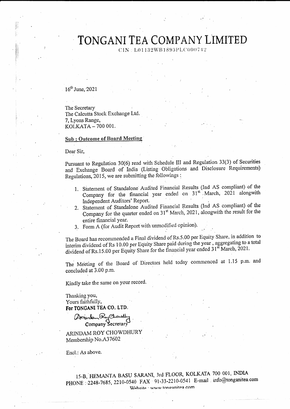CIN: L01132WB1893PLC000742

 $16<sup>th</sup>$  June, 2021

The Secretary The Calcutta Stock Exchange Ltd. 7, Lyons Range, KOLKATA - 700 001.

#### **Sub: Outcome of Board Meeting**

Dear Sir,

Pursuant to Regulation 30(6) read with Schedule III and Regulation 33(3) of Securities and Exchange Board of India (Listing Obligations and Disclosure Requirements) Regulations, 2015, we are submitting the followings:

- 1. Statement of Standalone Audited Financial Results (Ind AS compliant) of the Company for the financial year ended on 31st March, 2021 alongwith Independent Auditors' Report.
- 2. Statement of Standalone Audited Financial Results (Ind AS compliant) of the Company for the quarter ended on 31<sup>st</sup> March, 2021, alongwith the result for the entire financial year.
- 3. Form A (for Audit Report with unmodified opinion).

The Board has recommended a Final dividend of Rs.5.00 per Equity Share, in addition to interim dividend of Rs 10.00 per Equity Share paid during the year, aggregating to a total dividend of Rs.15.00 per Equity Share for the financial year ended 31<sup>st</sup> March, 2021.

The Meeting of the Board of Directors held today commenced at 1.15 p.m. and concluded at 3.00 p.m.

Kindly take the same on your record.

Thanking you, Yours faithfully, For TONGANI TEA CO. LTD.

Arsindam Roy Chouselly

ARINDAM ROY CHOWDHURY Membership No.A37602

Encl.: As above.

15-B, HEMANTA BASU SARANI, 3rd FLOOR, KOLKATA 700 001, INDIA PHONE: 2248-7685, 2210-0540 FAX 91-33-2210-0541 E-mail info@tonganitea.com Website : www.tonizanitea.com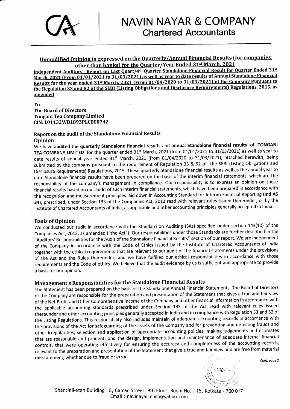

#### Unmodified Opinion is expressed on the Ouarterlv/Annual Financial Results (for companies other than banks) for the Quarter/Year Ended 31<sup>st</sup> March, 2021

Independent Auditors' Report on Last Quart/4<sup>th</sup> Quarter Standalone Financial Result for Quarter Ended 31st March, 2021 (From 01/01/2021 to 31/03/2021) as well as year to date results of Annual Standalone Financial Results for the year ended 31st March. 2021 (From 01/04/2020 to 31/03/2021) of the Company Pursuant to the Regulation 33 and 52 of the SEBI (Listing Obligations and Disclosure Requirements) Regulations. 2015, as amended

To The Board of Directors Tongani Tea Company Limited CIN: L01132WB1893PLC000742

#### Report on the audit of the Standalone Financial Results Opinion

We have audited the quarterly Standalone financial results and annual Standalone financial results of TONGANI TEA COMPANY LIMITED for the quarter ended 31<sup>st</sup> March, 2021 (from 01/01/2021 to 31/03/2021) as well as year to date results of annual year ended 31<sup>st</sup> March, 2021 (from 01/04/2020 to 31/03/2021), attached herewith, being submitted by the company pursuant to the requirement of Regulation 33 & 52 of the SEBI (Listing Obligations and Disclosure Requirements) Regulations, 2015. These quarterly Standalone financial results as well as the annual year to date Standalone financial results have been prepared on the basis of the interim financial statements, which are the responsibility of the company's management in compliance. Our responsibility is to express an opinion on these financial results based on our audit of such interim financial statements, which have been prepared in accordance with the recognition and measurement principles laid down in Accounting Standard for lnterim Financial Reporting (lnd AS 34), prescribed, under Section 133 of the Companies Act, 2013 read with relevant rules issued thereunder; or by the lnstitute of Chartered Accountants of lndia, as applicable and other accounting principles generally accepted in lndia.

#### **Basis of Opinion**

We conducted our audit in accordance with the Standard on Auditing (SAs) specified under section 143(10) of the Companies Act, 2013, as amended ("the Act"). Our responsibilities under those Standards are further described in the "Auditors' Responsibilities for the Audit of the Standalone Financial Results" section of our report. We are independent of the Company in accordance with the Code of Ethics issued by the lnstitute of Chartered Accountants of lndia together with the ethical requirements that are relevant to our audit of the financial statements under the provisions of the Act and the Rules thereunder, and we have fulfilled our ethical responsibilities in accordance with those requirements and the Code of ethics. We believe that the audit evidence by us is sufficient and appropriate to provide a basis for our opinion.

### Management's Responsibilities for the Standalone Financial Results

The Statement has been prepared on the basis of the Standalone Annual Financial Statements. The Board of Directors of the Company are responsible for the preparation and presentation of the Statement that gives a true and fair view of the Net Profit and Other Comprehensive Income of the Company and other financial information in accordance with the applicable accounting standards prescribed under section 133 of the Act read with relevant rules issued thereunder and other accounting principles generally accepted in lndia and in compliance with Regulation 33 and 52 of the Listing Regulations. This responsibility also includes maintain of adequate accounting records in accorlance with the provisions of the Act for safeguarding of the assets of the company and for preventing and detecting frauds and other irregularities; selection and application of appropriate accounting policies; making judgements and estimates that are reasonable and prudent; and the design, implementation and maintenance of adequate internal financial controls, that were operating effectively for ensuring the accuracy and completeness of the accounting records, relevant to the preparation and presentation of the Statement that give a true and fair view and are free from material misstatement, whether due to fraud or error.

Cont. page 2

 $\mathsf{KOL}$ i $\mathbb{Z}$ 

a

J..

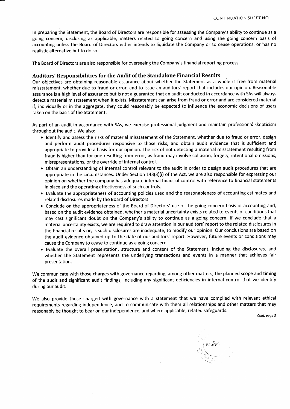ln preparing the Statement, the Board of Directors are responsible for assessing the Company's ability to continue as a going concern, disclosing as applicable, matters related to going concern and using the going concern basis of accounting unless the Board of Directors either intends to liquidate the Company or to cease operations. or has no realistic alternative but to do so.

The Board of Directors are also responsible for overseeing the Company's financial reporting process.

#### Auditors'Responsibilities for the Audit ofthe Standalone Financial Results

Our objectives are obtaining reasonable assurance about whether the Statement as a whole is free from material misstatement, whether due to fraud or error, and to issue an auditors' report that includes our opinion. Reasonable assurance is a high level of assurance but is not a guarantee that an audit conducted in accordance with SAs will always detect a material misstatement when it exists. Misstatement can arise from fraud or error and are considered material if, individually or in the aggregate, they could reasonably be expected to influence the economic decisions of users taken on the basis of the Statement.

As part of an audit in accordance with SAs, we exercise professional judgment and maintaln professionai skepticism throughout the audit. We also:

- Identify and assess the risks of material misstatement of the Statement, whether due to fraud or error, design and perform audit procedures responsive to those risks, and obtain audit evidence that is sufficient and appropriate to provide a basis for our opinion. The risk of not detecting a material misstatement resulting from fraud is higher than for one resulting from error, as fraud may involve collusion, forgery, intentional omissions, misrepresentations, or the override of internal control.
- Obtain an understanding of internal control relevant to the audit in order to design audit procedures that are appropriate in the circumstances. Under Section 143(3)(i) of the Act, we are also responsible for expressing our opinion on whether the company has adequate internal financial control with reference to financial statements in place and the operating effectiveness of such controls.
- . Evaluate the appropriateness of accounting policies used and the reasonableness of accounting estimates and related disclosures made by the Board of Directors.
- o Conclude on the appropriateness of the Board of Directors' use of the going concern basis of accounting and, based on the audit evidence obtained, whether a material uncertainty exists related to events or conditions that may cast significant doubt on the Company's ability to continue as a going concern. lf we conclude that <sup>a</sup> material uncertainty exists, we are required to draw attention in our auditors' report to the related disclosures in the financial results or, is such disclosures are inadequate, to modify our opinion. Our conclusions are based on the audit evidence obtained up to the date of our auditors' report. However, future events or conditions may cause the Company to cease to continue as a going concern.
- . Evaluate the overall presentation, structure and content of the statement, including the disclosures, and whether the Statement represents the underlying transactions and events in a manner that achieves fair presentation.

We communicate with those charges with governance regarding, among other matters, the planned scope and timing of the audit and significant audit findings, including any significant deficiencies in internal control that we identify during our audit.

We also provide those charged with governance with a statement that we have complied with relevant ethical requirements regarding independence, and to communicate with them all relationships and other matters that may reasonably be thought to bear on our independence, and where applicable, related safeguards.

Cont. page 3

i, koƙv  $\sum_{i=1}^n \lambda_i$  $\zeta^{\varepsilon_{\Theta}}$ e  $\ddotsc$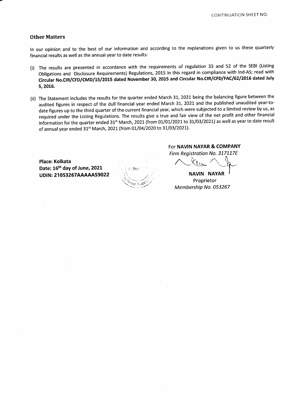#### Other Matters

ln our opinion and to the best of our information and according to the explanations given to us these quarterly financial results as well as the annual year to date results:

- (i) The resutts are presented in accordance with the requirements of regulation 33 and 52 of the SEBI (Listing obligations and Disclosure Requirements) Regulations, 2015 in this regard in compliance with lnd-As; read with Circular No.CIR/CFD/CMD/15/2015 dated November 30, 2015 and Circular No.CIR/CFD/FAC/62/2016 dated July 5,2016.
- (ii) The Statement includes the results for the quarter ended March 31, 2021 being the balancing figure between the audited figures in respect of the dull financial year ended March 31, 2021 and the published unaudited year-todate figures up to the third quarter of the current financial year, which were subjected to a limited review by us, as required under the Listing Regulations. The results give a true and fair view of the net profit and other financial information for the quarter ended 31<sup>st</sup> March, 2021 (from 01/01/2021 to 31/03/2021) as well as year to date result of annual year ended 31<sup>st</sup> March, 2021 (from 01/04/2020 to 31/03/2021).

Place: Kolkata Date: 16<sup>th</sup> day of June, 2021 UDIN: 21053267AAAAAAS9022

;\. .  $\overline{\psi}_{\alpha}$  -  $\overline{\psi}_{\alpha}$  and  $\overline{\psi}_{\alpha}$  $\rm \tilde{e}_0$   $\wedge$ -.r

For NAVIN NAYAR & COMPANY

Firm Registration No. 317117E

 $\sim$  leaving  $\sim$  of

NAVIN NAYAR Proprietor Membership No. 053257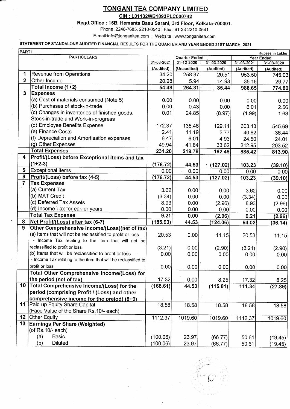CIN: L01132WB1893PLC000742

Regd.Office: 15B, Hemanta Basu Sarani, 3rd Floor, Kolkata-700001.

Phone: 2248-7685, 2210-0540; Fax: 91-33-2210-0541

E-mail:info@tonganitea.com : Website : www.tonganitea.com

## STATEMENT OF STANDALONE AUDITED FINANCIAL RESULTS FOR THE QUARTER AND YEAR ENDED 31ST MARCH, 2021

|                | PART I<br><b>Rupees in Lakhs</b>                               |            |                      |            |            |                 |
|----------------|----------------------------------------------------------------|------------|----------------------|------------|------------|-----------------|
|                | <b>PARTICULARS</b>                                             |            | <b>Quarter Ended</b> |            | Year Ended |                 |
|                |                                                                | 31-03-2021 | 31-12-2020           | 31-03-2020 | 31-03-2021 | 31-03-2020      |
|                |                                                                | (Audited)  | (Unaudited)          | (Audited)  | (Audited)  | (Audited)       |
|                | Revenue from Operations                                        | 34.20      | 258.37               | 20.51      | 953.50     | 745.03          |
| $\mathbf{2}$   | Other Income                                                   | 20.28      | 5.94                 | 14.93      | 35.15      | 29.77           |
|                | Total Income (1+2)                                             | 54.48      | 264.31               | 35.44      | 988.65     | 774.80          |
| $\mathbf{3}$   | <b>Expenses</b>                                                |            |                      |            |            |                 |
|                | (a) Cost of materials consumed (Note 5)                        | 0.00       | 0.00                 | 0.00       | 0.00       | 0.00            |
|                | (b) Purchases of stock-in-trade                                | 0.00       | 0.43                 | 0.00       | 6.01       | 2.56            |
|                | (c) Changes in inventories of finished goods,                  | 0.01       | 24.85                | (8.97)     | (1.99)     | 1.68            |
|                | Stock-in-trade and Work-in-progress                            |            |                      |            |            |                 |
|                | (d) Employee Benefits Expense                                  | 172.37     | 135.46               | 129.11     | 603.13     | 545.69          |
|                | (e) Finance Costs                                              | 2.41       | 11.19                | 3.77       | 40.82      | 36.44           |
|                | (f) Depreciation and Amortisation expenses                     | 6.47       | 6.01                 | 4.93       | 24.50      | 24.01           |
|                | (g) Other Expenses                                             | 49.94      | 41.84                | 33.62      | 212.95     | 203.52          |
|                | <b>Total Expenses</b>                                          | 231.20     | 219.78               | 162.46     | 885.42     | 813.90          |
| 4              | Profit/(Loss) before Exceptional Items and tax                 |            |                      |            |            |                 |
|                | $(1+2-3)$                                                      | (176.72)   | 44.53                | (127.02)   | 103.23     | (39.10)         |
| 5              | <b>Exceptional items</b>                                       | 0.00       | 0.00                 | 0.00       | 0.00       | 0.00            |
| 6              | Profit/(Loss) before tax (4-5)                                 | (176.72)   | 44.53                | (127.02)   | 103.23     | (39.10)         |
| $\overline{7}$ | <b>Tax Expenses</b>                                            |            |                      |            |            |                 |
|                | (a) Current Tax                                                | 3.62       | 0.00                 | 0.00       | 3.62       | 0.00            |
|                | (b) MAT Credit                                                 | (3.34)     | 0.00                 | 0.00       | (3.34)     | 0.00            |
|                | (c) Deferred Tax Assets                                        | 8.93       | 0.00                 | (2.96)     | 8.93       | (2.96)          |
|                | (d) Income Tax for earlier years                               | 0.00       | 0.00                 | 0.00       | 0.00       | 0.00            |
|                | <b>Total Tax Expense</b>                                       | 9.21       | 0.00                 | (2.96)     | 9.21       | (2.96)          |
| 8              | Net Profit/(Loss) after tax (6-7)                              | (185.93)   | 44.53                | (124.06)   | 94.02      | (36.14)         |
| 9              | Other Comprehensive Income/(Loss)(net of tax)                  |            |                      |            |            |                 |
|                | (a) Items that will not be reclassified to profit or loss      | 20.53      | 0.00                 | 11.15      | 20.53      | 11.15           |
|                | - Income Tax relating to the item that will not be             |            |                      |            |            |                 |
|                | reclassified to profit or loss                                 | (3.21)     | 0.00                 | (2.90)     | (3.21)     | (2.90)          |
|                | (b) Items that will be reclassified to profit or loss          | 0.00       | 0.00                 | 0.00       | 0.00       | 0.00            |
|                | - Income Tax relating to the item that will be reclassified to |            |                      |            |            |                 |
|                | profit or loss                                                 | 0.00       | 0.00                 | 0.00       | 0.00       | 0.00            |
|                | Total Other Comprehensive Income/(Loss) for                    |            |                      |            |            |                 |
|                | the period (net of tax)                                        | 17.32      | 0.00                 | 8.25       | 17.32      |                 |
| 10             | Total Comprehensive Income/(Loss) for the                      | (168.61)   | 44.53                | (115.81)   | 111.34     | 8.25<br>(27.89) |
|                | period (comprising Profit / (Loss) and other                   |            |                      |            |            |                 |
|                | comprehensive income for the preiod) (8+9)                     |            |                      |            |            |                 |
| 11             | Paid up Equity Share Capital                                   | 18.58      | 18.58                | 18.58      |            |                 |
|                | (Face Value of the Share Rs. 10/- each)                        |            |                      |            | 18.58      | 18.58           |
| 12             | <b>Other Equity</b>                                            | 1112.37    | 1019.60              |            |            |                 |
| 13             | <b>Earnings Per Share (Weighted)</b>                           |            |                      | 1019.60    | 1112.37    | 1019.60         |
|                | (of Rs. 10/- each)                                             |            |                      |            |            |                 |
|                | <b>Basic</b>                                                   |            |                      |            |            |                 |
|                | (a)                                                            | (100.06)   | 23.97                | (66.77)    | 50.61      | (19.45)         |
|                | (b)<br><b>Diluted</b>                                          | (100.06)   | 23.97                | (66.77)    | 50.61      | (19.45)         |

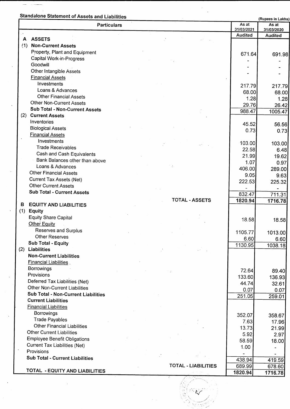## Standalone Statement of Assets and Liabilities (Rupees in Lakhs)

 $\overline{a}$ 

 $\ddot{\phantom{1}}$ 

 $\bar{\phantom{a}}$  $\ddot{\phantom{a}}$ 

|     | <b>Particulars</b>                                             |                            | As at<br>31/03/2021 | As at<br>31/03/2020 |
|-----|----------------------------------------------------------------|----------------------------|---------------------|---------------------|
|     |                                                                |                            | Audited             | <b>Audited</b>      |
| A   | <b>ASSETS</b>                                                  |                            |                     |                     |
| (1) | <b>Non-Current Assets</b>                                      |                            |                     |                     |
|     | Property, Plant and Equipment                                  |                            | 671.64              | 691.98              |
|     | Capital Work-in-Progress                                       |                            |                     |                     |
|     | Goodwill                                                       |                            |                     |                     |
|     | <b>Other Intangible Assets</b>                                 |                            |                     |                     |
|     | <b>Financial Assets</b>                                        |                            |                     |                     |
|     | Investments                                                    |                            | 217.79              | 217.79              |
|     | Loans & Advances                                               |                            | 68.00               | 68.00               |
|     | <b>Other Financial Assets</b>                                  |                            | 1.28                | 1.28                |
|     | <b>Other Non-Current Assets</b>                                |                            | 29.76               | 26.42               |
|     | Sub Total - Non-Current Assets                                 |                            | 988.47              | 1005.47             |
| (2) | <b>Current Assets</b>                                          |                            |                     |                     |
|     | Inventories                                                    |                            | 45.52               | 56.56               |
|     | <b>Biological Assets</b>                                       |                            | 0.73                | 0.73                |
|     | <b>Financial Assets</b>                                        |                            |                     |                     |
|     | Investments                                                    |                            | 103.00              | 103.00              |
|     | <b>Trade Receivables</b>                                       |                            | 22.58               | 6.48                |
|     | Cash and Cash Equivalents                                      |                            | 21.99               | 19.62               |
|     | Bank Balances other than above<br>Loans & Advances             |                            | 1.07                | 0.97                |
|     |                                                                |                            | 406.00              | 289.00              |
|     | <b>Other Financial Assets</b>                                  |                            | 9.05                | 9.63                |
|     | <b>Current Tax Assets (Net)</b><br><b>Other Current Assets</b> |                            | 222.53              | 225.32              |
|     | <b>Sub Total - Current Assets</b>                              |                            |                     |                     |
|     |                                                                |                            | 832.47              | 711.31              |
| в   | <b>EQUITY AND LIABILITIES</b>                                  | <b>TOTAL - ASSETS</b>      | 1820.94             | 1716.78             |
| (1) | <b>Equity</b>                                                  |                            |                     |                     |
|     | <b>Equity Share Capital</b>                                    |                            |                     |                     |
|     | <b>Other Equity</b>                                            |                            | 18.58               | 18.58               |
|     | Reserves and Surplus                                           |                            |                     |                     |
|     | <b>Other Reserves</b>                                          |                            | 1105.77             | 1013.00             |
|     | Sub Total - Equity                                             |                            | 6.60<br>1130.95     | 6.60                |
|     | (2) Liabilities                                                |                            |                     | 1038.18             |
|     | <b>Non-Current Liabilities</b>                                 |                            |                     |                     |
|     | <b>Financial Liabilities</b>                                   |                            |                     |                     |
|     | <b>Borrowings</b>                                              |                            | 72.64               |                     |
|     | Provisions                                                     | $\mathcal{F}(\mathcal{X})$ | 133.60              | 89.40<br>136.93     |
|     | Deferred Tax Liabilities (Net)                                 |                            | 44.74               | 32.61               |
|     | <b>Other Non-Current Liabilities</b>                           |                            | 0.07                | 0.07                |
|     | Sub Total - Non-Current Liabilities                            |                            | 251.05              | 259.01              |
|     | <b>Current Liabilities</b>                                     |                            |                     |                     |
|     | <b>Financial Liabilities</b>                                   |                            |                     |                     |
|     | <b>Borrowings</b>                                              |                            | 352.07              | 358.67              |
|     | <b>Trade Payables</b>                                          |                            | 7.63                | 17.96               |
|     | <b>Other Financial Liabilities</b>                             |                            | 13.73               | 21.99               |
|     | <b>Other Current Liabilities</b>                               |                            | 5.92                | 2.97                |
|     | <b>Employee Benefit Obligations</b>                            |                            | 58.59               | 18.00               |
|     | <b>Current Tax Liabilities (Net)</b>                           |                            | 1.00                |                     |
|     | Provisions                                                     |                            |                     |                     |
|     | <b>Sub Total - Current Liabilities</b>                         |                            | 438.94              | 419.59              |
|     |                                                                | <b>TOTAL - LIABILITIES</b> | 689.99              | 678.60              |
|     | TOTAL - EQUITY AND LIABILITIES                                 |                            | 1820.94             | 1716.78             |
|     |                                                                |                            |                     |                     |

÷.

E<br>Elizabeth<br>S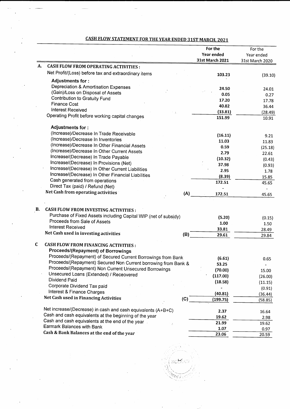|    |                                                                                                  |     | For the<br>Year ended<br>31st March 2021 | For the<br>Year ended<br>31st March 2020 |
|----|--------------------------------------------------------------------------------------------------|-----|------------------------------------------|------------------------------------------|
| А. | <b>CASH FLOW FROM OPERATING ACTIVITIES:</b>                                                      |     |                                          |                                          |
|    | Net Profit/(Loss) before tax and extraordinary items                                             |     | 103.23                                   | (39.10)                                  |
|    | Adjustments for:                                                                                 |     |                                          |                                          |
|    | Depreciation & Amortisation Expenses                                                             |     | 24.50                                    | 24.01                                    |
|    | (Gain)/Loss on Disposal of Assets                                                                |     | 0.05                                     | 0.27                                     |
|    | Contribution to Gratuity Fund                                                                    |     | 17.20                                    | 17.78                                    |
|    | <b>Finance Cost</b>                                                                              |     | 40.82                                    | 36.44                                    |
|    | Interest Received                                                                                |     | (33.81)                                  | (28.49)                                  |
|    | Operating Profit before working capital changes                                                  |     | 151.99                                   | 10.91                                    |
|    | Adjustments for:                                                                                 |     |                                          |                                          |
|    | (Increase)/Decrease In Trade Receivable                                                          |     | (16.11)                                  | 9.21                                     |
|    | (Increase)/Decrease In Inventories                                                               |     | 11.03                                    | 11.83                                    |
|    | (Increase)/Decrease In Other Financial Assets                                                    |     | 0.59                                     | (25.18)                                  |
|    | (Increase)/Decrease In Other Current Assets                                                      |     | 2.79                                     | 22.61                                    |
|    | Increase/(Decrease) In Trade Payable                                                             |     | (10.32)                                  | (0.43)                                   |
|    | Increase/(Decrease) In Provisions (Net)                                                          |     | 37.98                                    | (0.93)                                   |
|    | Increase/(Decrease) In Other Current Liabilities                                                 |     | 2.95                                     | 1.78                                     |
|    | Increase/(Decrease) In Other Financial Liabilities                                               |     | (8.39)                                   | 15.85                                    |
|    | Cash generated from operations                                                                   |     | 172.51                                   | 45.65                                    |
|    | Direct Tax (paid) / Refund (Net)<br>Net Cash from operating activities                           |     |                                          |                                          |
|    |                                                                                                  | (A) | 172.51                                   | 45.65                                    |
| В. | <b>CASH FLOW FROM INVESTING ACTIVITIES:</b>                                                      |     |                                          |                                          |
|    | Purchase of Fixed Assets including Capital WIP (net of subsidy)                                  |     |                                          |                                          |
|    | Proceeds from Sale of Assets                                                                     |     | (5.20)                                   | (0.15)                                   |
|    | <b>Interest Received</b>                                                                         |     | 1.00<br>33.81                            | 1.50                                     |
|    | Net Cash used in investing activities                                                            | (B) | 29.61                                    | 28.49<br>29.84                           |
|    |                                                                                                  |     |                                          |                                          |
| C  | <b>CASH FLOW FROM FINANCING ACTIVITIES:</b>                                                      |     |                                          |                                          |
|    | Proceeds/(Repayment) of Borrowings                                                               |     |                                          |                                          |
|    | Proceeds/(Repayment) of Secured Current Borrowings from Bank                                     |     | (6.61)                                   | 0.65                                     |
|    | Proceeds/(Repayment) Secured Non Current borrowing from Bank &                                   |     | 53.25                                    | $\blacksquare$                           |
|    | Proceeds/(Repayment) Non Current Unsecured Borrowings<br>Unsecured Loans (Extended) / Receovered |     | (70.00)                                  | 15.00                                    |
|    | Dividend Paid                                                                                    |     | (117.00)                                 | (26.00)                                  |
|    | Corporate Dividend Tax paid                                                                      |     | (18.58)                                  | (11.15)                                  |
|    | Interest & Finance Charges                                                                       |     |                                          | (0.91)                                   |
|    | Net Cash used in Financing Activities                                                            |     | (40.81)                                  | (36.44)                                  |
|    |                                                                                                  | (C) | (199.75)                                 | (58.85)                                  |
|    | Net increase/(Decrease) in cash and cash equivalents (A+B+C)                                     |     | 2.37                                     | 16.64                                    |
|    | Cash and cash equivalents at the beginning of the year                                           |     | 19.62                                    | 2.98                                     |
|    | Cash and cash equivalents at the end of the year.                                                |     | 21.99                                    | 19.62                                    |
|    | Earmark Balances with Bank                                                                       |     | 1.07                                     | 0.97                                     |
|    | Cash & Bank Balances at the end of the year                                                      |     | 23.06                                    | 20.59                                    |

## CASH FLOW STATEMENT FOR TIIE YEAR ENDED 31ST MARCH. 2021

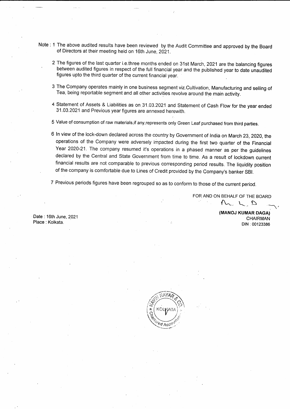- Note : 1 The above audited results have been reviewed by the Audit Committee and approved by the Board of Directors at their meeting held on 16th June, 2021.
	- 2 The figures of the last quarter i.e.three months ended on 31st March, 2021 are the balancing figures between audited figures in respect of the full financial year and the published year to date unaudited figures upto the third quarter of the current financial year.
	- 3 The Company operates mainly in one business segment viz.Cultivation, Manufacturing and selling of Tea, being reportable segment and all other activities revolve around the main activity.
	- 4 Statement of Assets & Liabilities as on 31 .03.2021 and Statement of Cash Flow for the year ended 31.03.2021 and Previous year figures are annexed herewith.
	- 5 Value of consumption of raw materials,if any,represents only Green Leaf purchased from third parties.
	- 6 ln view of the lock-down declared across the country by Government of lndia on March 23,2020, the operations of the Company were adversely impacted during the first two quarter of the Financial Year 2020-21. The company resumed it's operations in a phased manner as per the guidelines declared by the Central and State Government from time to time. As a result of lockdown current financial results are not comparable to previous corresponding period results. The liquidity position of the company is comfortable due to Lines of Credit provided by the Company's banker SBl.
	- 7 Previous periods figures have been regrouped so as to conform to those of the current period.

FOR AND ON BEHALF OF THE BOARD  $M_L L_D$ 

> (MANOJ KUMAR DAGA) CHAIRMAN DIN :00123386

Date : 16th June,2021 Place : Kolkata.

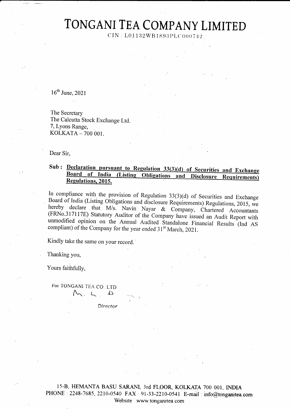CIN: L01132WB1893PLC000742

 $16^{th}$  June, 2021

The Secretary The Calcutta Stock Exchange Ltd. 7, Lyons Range, KOLKATA - 700 001.

Dear Sir.

### Sub: Declaration pursuant to Regulation 33(3)(d) of Securities and Exchange Board of India (Listing Obligations and Disclosure Requirements) Regulations, 2015.

In compliance with the provision of Regulation  $33(3)(d)$  of Securities and Exchange Board of India (Listing Obligations and disclosure Requirements) Regulations, 2015, we hereby declare that M/s. Navin Nayar & Company, Chartered Accountants (FRNo.317117E) Statutory Auditor of the Company have issued an Audit Report with unmodified opinion on the Annual Audited Standalone Financial Results (Ind AS compliant) of the Company for the year ended 31<sup>st</sup> March, 2021.

Kindly take the same on your record.

Thanking you,

Yours faithfully,

For TONGANI TEA CO. LTD  $\vee$ ,  $\vee$   $\vee$ 

Director

15-B, HEMANTA BASU SARANI, 3rd FLOOR, KOLKATA 700 001, INDIA PHONE : 2248-7685, 2210-0540 FAX : 91-33-2210-0541 E-mail : info@tonganitea.com Website: www.tonganitea.com